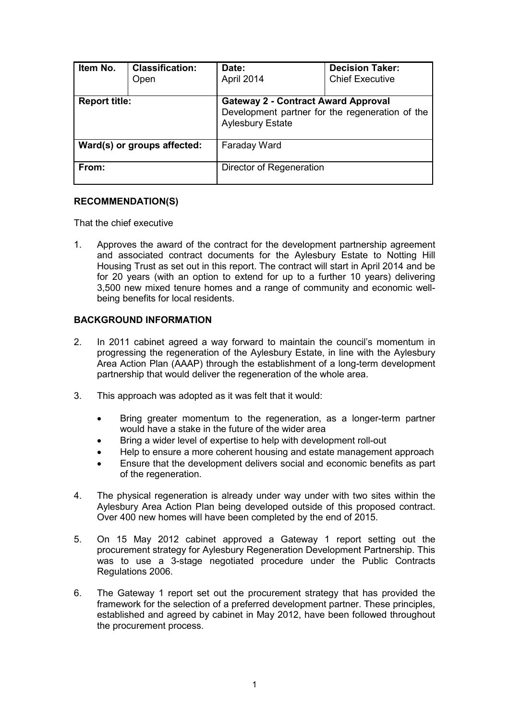| Item No.                    | <b>Classification:</b><br>Open | Date:<br>April 2014                                                                                                      | <b>Decision Taker:</b><br><b>Chief Executive</b> |
|-----------------------------|--------------------------------|--------------------------------------------------------------------------------------------------------------------------|--------------------------------------------------|
| <b>Report title:</b>        |                                | <b>Gateway 2 - Contract Award Approval</b><br>Development partner for the regeneration of the<br><b>Aylesbury Estate</b> |                                                  |
| Ward(s) or groups affected: |                                | Faraday Ward                                                                                                             |                                                  |
| From:                       |                                | Director of Regeneration                                                                                                 |                                                  |

### **RECOMMENDATION(S)**

That the chief executive

1. Approves the award of the contract for the development partnership agreement and associated contract documents for the Aylesbury Estate to Notting Hill Housing Trust as set out in this report. The contract will start in April 2014 and be for 20 years (with an option to extend for up to a further 10 years) delivering 3,500 new mixed tenure homes and a range of community and economic wellbeing benefits for local residents.

# **BACKGROUND INFORMATION**

- 2. In 2011 cabinet agreed a way forward to maintain the council's momentum in progressing the regeneration of the Aylesbury Estate, in line with the Aylesbury Area Action Plan (AAAP) through the establishment of a long-term development partnership that would deliver the regeneration of the whole area.
- 3. This approach was adopted as it was felt that it would:
	- Bring greater momentum to the regeneration, as a longer-term partner would have a stake in the future of the wider area
	- Bring a wider level of expertise to help with development roll-out
	- Help to ensure a more coherent housing and estate management approach
	- Ensure that the development delivers social and economic benefits as part of the regeneration.
- 4. The physical regeneration is already under way under with two sites within the Aylesbury Area Action Plan being developed outside of this proposed contract. Over 400 new homes will have been completed by the end of 2015.
- 5. On 15 May 2012 cabinet approved a Gateway 1 report setting out the procurement strategy for Aylesbury Regeneration Development Partnership. This was to use a 3-stage negotiated procedure under the Public Contracts Regulations 2006.
- 6. The Gateway 1 report set out the procurement strategy that has provided the framework for the selection of a preferred development partner. These principles, established and agreed by cabinet in May 2012, have been followed throughout the procurement process.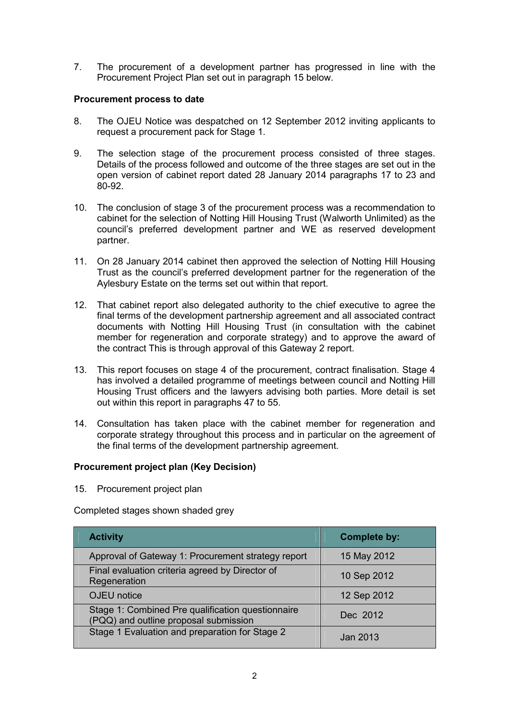7. The procurement of a development partner has progressed in line with the Procurement Project Plan set out in paragraph 15 below.

# **Procurement process to date**

- 8. The OJEU Notice was despatched on 12 September 2012 inviting applicants to request a procurement pack for Stage 1.
- 9. The selection stage of the procurement process consisted of three stages. Details of the process followed and outcome of the three stages are set out in the open version of cabinet report dated 28 January 2014 paragraphs 17 to 23 and 80-92.
- 10. The conclusion of stage 3 of the procurement process was a recommendation to cabinet for the selection of Notting Hill Housing Trust (Walworth Unlimited) as the council's preferred development partner and WE as reserved development partner.
- 11. On 28 January 2014 cabinet then approved the selection of Notting Hill Housing Trust as the council's preferred development partner for the regeneration of the Aylesbury Estate on the terms set out within that report.
- 12. That cabinet report also delegated authority to the chief executive to agree the final terms of the development partnership agreement and all associated contract documents with Notting Hill Housing Trust (in consultation with the cabinet member for regeneration and corporate strategy) and to approve the award of the contract This is through approval of this Gateway 2 report.
- 13. This report focuses on stage 4 of the procurement, contract finalisation. Stage 4 has involved a detailed programme of meetings between council and Notting Hill Housing Trust officers and the lawyers advising both parties. More detail is set out within this report in paragraphs 47 to 55.
- 14. Consultation has taken place with the cabinet member for regeneration and corporate strategy throughout this process and in particular on the agreement of the final terms of the development partnership agreement.

# **Procurement project plan (Key Decision)**

15. Procurement project plan

Completed stages shown shaded grey

| <b>Activity</b>                                                                            | <b>Complete by:</b> |
|--------------------------------------------------------------------------------------------|---------------------|
| Approval of Gateway 1: Procurement strategy report                                         | 15 May 2012         |
| Final evaluation criteria agreed by Director of<br>Regeneration                            | 10 Sep 2012         |
| OJEU notice                                                                                | 12 Sep 2012         |
| Stage 1: Combined Pre qualification questionnaire<br>(PQQ) and outline proposal submission | Dec 2012            |
| Stage 1 Evaluation and preparation for Stage 2                                             | Jan 2013            |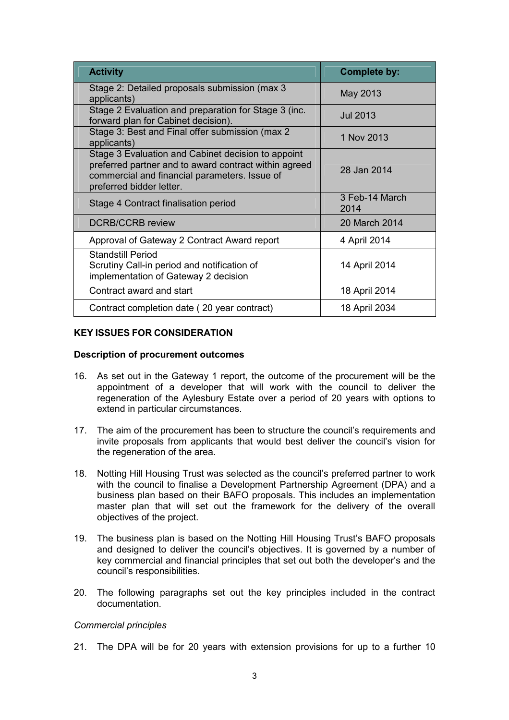| <b>Activity</b>                                                                                                                                                                          | <b>Complete by:</b>    |
|------------------------------------------------------------------------------------------------------------------------------------------------------------------------------------------|------------------------|
| Stage 2: Detailed proposals submission (max 3)<br>applicants)                                                                                                                            | May 2013               |
| Stage 2 Evaluation and preparation for Stage 3 (inc.<br>forward plan for Cabinet decision).                                                                                              | <b>Jul 2013</b>        |
| Stage 3: Best and Final offer submission (max 2)<br>applicants)                                                                                                                          | 1 Nov 2013             |
| Stage 3 Evaluation and Cabinet decision to appoint<br>preferred partner and to award contract within agreed<br>commercial and financial parameters. Issue of<br>preferred bidder letter. | 28 Jan 2014            |
| Stage 4 Contract finalisation period                                                                                                                                                     | 3 Feb-14 March<br>2014 |
| <b>DCRB/CCRB review</b>                                                                                                                                                                  | 20 March 2014          |
| Approval of Gateway 2 Contract Award report                                                                                                                                              | 4 April 2014           |
| <b>Standstill Period</b><br>Scrutiny Call-in period and notification of<br>implementation of Gateway 2 decision                                                                          | 14 April 2014          |
| Contract award and start                                                                                                                                                                 | 18 April 2014          |
| Contract completion date (20 year contract)                                                                                                                                              | 18 April 2034          |

# **KEY ISSUES FOR CONSIDERATION**

### **Description of procurement outcomes**

- 16. As set out in the Gateway 1 report, the outcome of the procurement will be the appointment of a developer that will work with the council to deliver the regeneration of the Aylesbury Estate over a period of 20 years with options to extend in particular circumstances.
- 17. The aim of the procurement has been to structure the council's requirements and invite proposals from applicants that would best deliver the council's vision for the regeneration of the area.
- 18. Notting Hill Housing Trust was selected as the council's preferred partner to work with the council to finalise a Development Partnership Agreement (DPA) and a business plan based on their BAFO proposals. This includes an implementation master plan that will set out the framework for the delivery of the overall objectives of the project.
- 19. The business plan is based on the Notting Hill Housing Trust's BAFO proposals and designed to deliver the council's objectives. It is governed by a number of key commercial and financial principles that set out both the developer's and the council's responsibilities.
- 20. The following paragraphs set out the key principles included in the contract documentation.

# *Commercial principles*

21. The DPA will be for 20 years with extension provisions for up to a further 10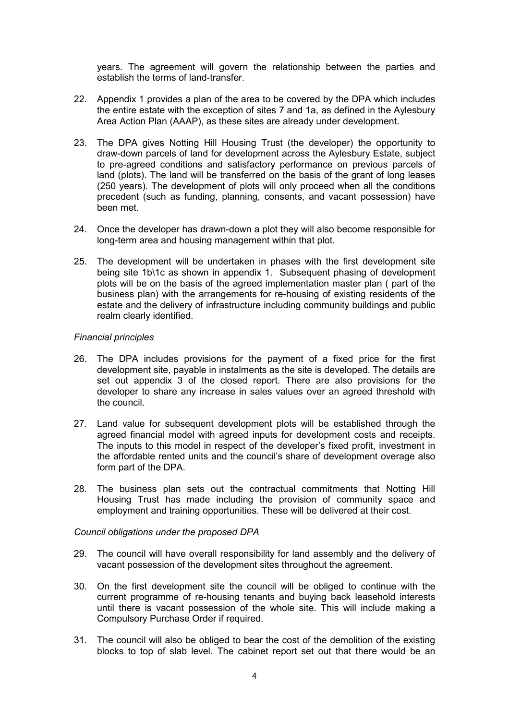years. The agreement will govern the relationship between the parties and establish the terms of land-transfer.

- 22. Appendix 1 provides a plan of the area to be covered by the DPA which includes the entire estate with the exception of sites 7 and 1a, as defined in the Aylesbury Area Action Plan (AAAP), as these sites are already under development.
- 23. The DPA gives Notting Hill Housing Trust (the developer) the opportunity to draw-down parcels of land for development across the Aylesbury Estate, subject to pre-agreed conditions and satisfactory performance on previous parcels of land (plots). The land will be transferred on the basis of the grant of long leases (250 years). The development of plots will only proceed when all the conditions precedent (such as funding, planning, consents, and vacant possession) have been met.
- 24. Once the developer has drawn-down a plot they will also become responsible for long-term area and housing management within that plot.
- 25. The development will be undertaken in phases with the first development site being site 1b\1c as shown in appendix 1. Subsequent phasing of development plots will be on the basis of the agreed implementation master plan ( part of the business plan) with the arrangements for re-housing of existing residents of the estate and the delivery of infrastructure including community buildings and public realm clearly identified.

### *Financial principles*

- 26. The DPA includes provisions for the payment of a fixed price for the first development site, payable in instalments as the site is developed. The details are set out appendix 3 of the closed report. There are also provisions for the developer to share any increase in sales values over an agreed threshold with the council.
- 27. Land value for subsequent development plots will be established through the agreed financial model with agreed inputs for development costs and receipts. The inputs to this model in respect of the developer's fixed profit, investment in the affordable rented units and the council's share of development overage also form part of the DPA.
- 28. The business plan sets out the contractual commitments that Notting Hill Housing Trust has made including the provision of community space and employment and training opportunities. These will be delivered at their cost.

### *Council obligations under the proposed DPA*

- 29. The council will have overall responsibility for land assembly and the delivery of vacant possession of the development sites throughout the agreement.
- 30. On the first development site the council will be obliged to continue with the current programme of re-housing tenants and buying back leasehold interests until there is vacant possession of the whole site. This will include making a Compulsory Purchase Order if required.
- 31. The council will also be obliged to bear the cost of the demolition of the existing blocks to top of slab level. The cabinet report set out that there would be an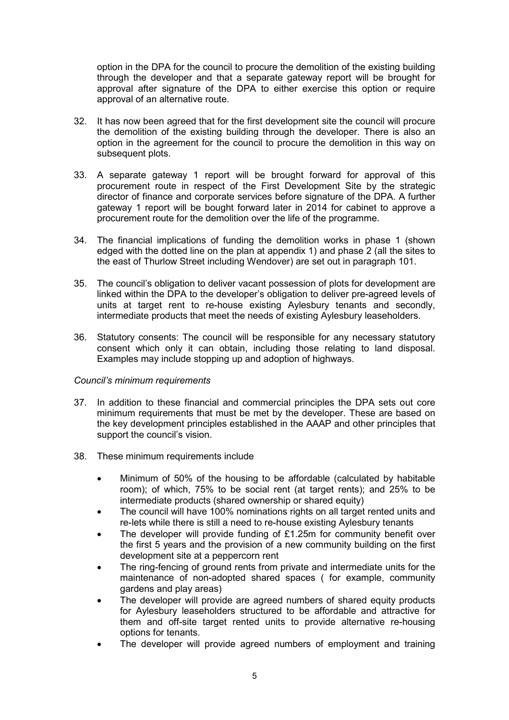option in the DPA for the council to procure the demolition of the existing building through the developer and that a separate gateway report will be brought for approval after signature of the DPA to either exercise this option or require approval of an alternative route.

- 32. It has now been agreed that for the first development site the council will procure the demolition of the existing building through the developer. There is also an option in the agreement for the council to procure the demolition in this way on subsequent plots.
- 33. A separate gateway 1 report will be brought forward for approval of this procurement route in respect of the First Development Site by the strategic director of finance and corporate services before signature of the DPA. A further gateway 1 report will be bought forward later in 2014 for cabinet to approve a procurement route for the demolition over the life of the programme.
- 34. The financial implications of funding the demolition works in phase 1 (shown edged with the dotted line on the plan at appendix 1) and phase 2 (all the sites to the east of Thurlow Street including Wendover) are set out in paragraph 101.
- 35. The council's obligation to deliver vacant possession of plots for development are linked within the DPA to the developer's obligation to deliver pre-agreed levels of units at target rent to re-house existing Aylesbury tenants and secondly, intermediate products that meet the needs of existing Aylesbury leaseholders.
- 36. Statutory consents: The council will be responsible for any necessary statutory consent which only it can obtain, including those relating to land disposal. Examples may include stopping up and adoption of highways.

# *Council's minimum requirements*

- 37. In addition to these financial and commercial principles the DPA sets out core minimum requirements that must be met by the developer. These are based on the key development principles established in the AAAP and other principles that support the council's vision.
- 38. These minimum requirements include
	- Minimum of 50% of the housing to be affordable (calculated by habitable room); of which, 75% to be social rent (at target rents); and 25% to be intermediate products (shared ownership or shared equity)
	- The council will have 100% nominations rights on all target rented units and re-lets while there is still a need to re-house existing Aylesbury tenants
	- The developer will provide funding of £1.25m for community benefit over the first 5 years and the provision of a new community building on the first development site at a peppercorn rent
	- The ring-fencing of ground rents from private and intermediate units for the maintenance of non-adopted shared spaces ( for example, community gardens and play areas)
	- The developer will provide are agreed numbers of shared equity products for Aylesbury leaseholders structured to be affordable and attractive for them and off-site target rented units to provide alternative re-housing options for tenants.
	- The developer will provide agreed numbers of employment and training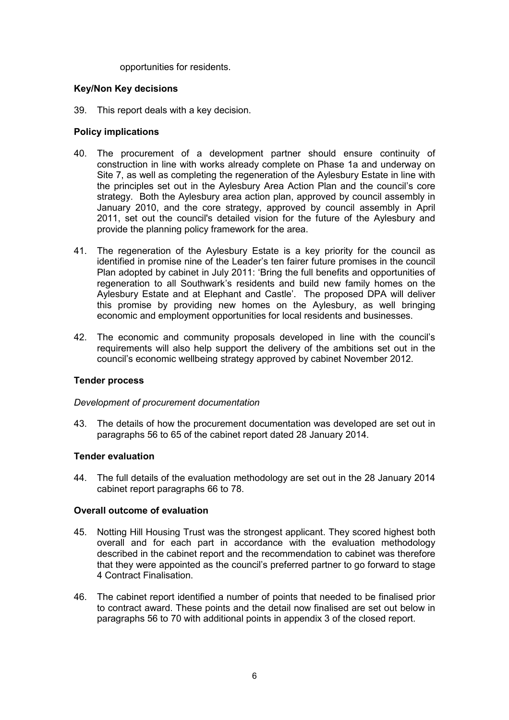opportunities for residents.

# **Key/Non Key decisions**

39. This report deals with a key decision.

### **Policy implications**

- 40. The procurement of a development partner should ensure continuity of construction in line with works already complete on Phase 1a and underway on Site 7, as well as completing the regeneration of the Aylesbury Estate in line with the principles set out in the Aylesbury Area Action Plan and the council's core strategy. Both the Aylesbury area action plan, approved by council assembly in January 2010, and the core strategy, approved by council assembly in April 2011, set out the council's detailed vision for the future of the Aylesbury and provide the planning policy framework for the area.
- 41. The regeneration of the Aylesbury Estate is a key priority for the council as identified in promise nine of the Leader's ten fairer future promises in the council Plan adopted by cabinet in July 2011: 'Bring the full benefits and opportunities of regeneration to all Southwark's residents and build new family homes on the Aylesbury Estate and at Elephant and Castle'. The proposed DPA will deliver this promise by providing new homes on the Aylesbury, as well bringing economic and employment opportunities for local residents and businesses.
- 42. The economic and community proposals developed in line with the council's requirements will also help support the delivery of the ambitions set out in the council's economic wellbeing strategy approved by cabinet November 2012.

# **Tender process**

### *Development of procurement documentation*

43. The details of how the procurement documentation was developed are set out in paragraphs 56 to 65 of the cabinet report dated 28 January 2014.

### **Tender evaluation**

44. The full details of the evaluation methodology are set out in the 28 January 2014 cabinet report paragraphs 66 to 78.

# **Overall outcome of evaluation**

- 45. Notting Hill Housing Trust was the strongest applicant. They scored highest both overall and for each part in accordance with the evaluation methodology described in the cabinet report and the recommendation to cabinet was therefore that they were appointed as the council's preferred partner to go forward to stage 4 Contract Finalisation.
- 46. The cabinet report identified a number of points that needed to be finalised prior to contract award. These points and the detail now finalised are set out below in paragraphs 56 to 70 with additional points in appendix 3 of the closed report.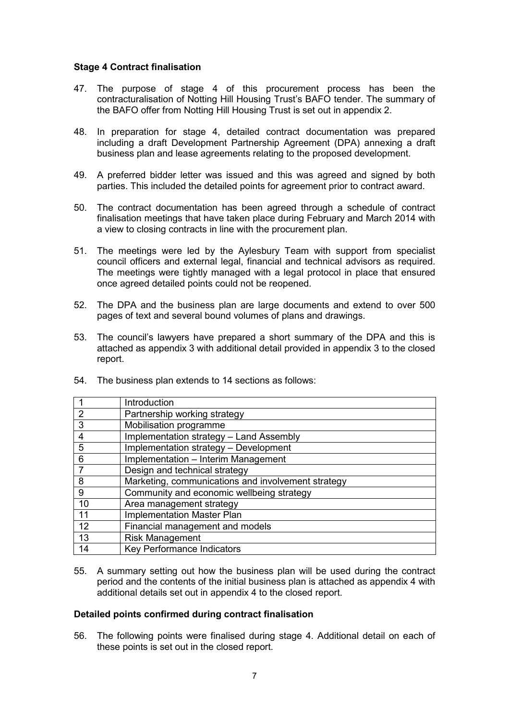# **Stage 4 Contract finalisation**

- 47. The purpose of stage 4 of this procurement process has been the contracturalisation of Notting Hill Housing Trust's BAFO tender. The summary of the BAFO offer from Notting Hill Housing Trust is set out in appendix 2.
- 48. In preparation for stage 4, detailed contract documentation was prepared including a draft Development Partnership Agreement (DPA) annexing a draft business plan and lease agreements relating to the proposed development.
- 49. A preferred bidder letter was issued and this was agreed and signed by both parties. This included the detailed points for agreement prior to contract award.
- 50. The contract documentation has been agreed through a schedule of contract finalisation meetings that have taken place during February and March 2014 with a view to closing contracts in line with the procurement plan.
- 51. The meetings were led by the Aylesbury Team with support from specialist council officers and external legal, financial and technical advisors as required. The meetings were tightly managed with a legal protocol in place that ensured once agreed detailed points could not be reopened.
- 52. The DPA and the business plan are large documents and extend to over 500 pages of text and several bound volumes of plans and drawings.
- 53. The council's lawyers have prepared a short summary of the DPA and this is attached as appendix 3 with additional detail provided in appendix 3 to the closed report.

|    | Introduction                                       |
|----|----------------------------------------------------|
| 2  | Partnership working strategy                       |
| 3  | Mobilisation programme                             |
| 4  | Implementation strategy - Land Assembly            |
| 5  | Implementation strategy - Development              |
| 6  | Implementation - Interim Management                |
|    | Design and technical strategy                      |
| 8  | Marketing, communications and involvement strategy |
| 9  | Community and economic wellbeing strategy          |
| 10 | Area management strategy                           |
| 11 | <b>Implementation Master Plan</b>                  |
| 12 | Financial management and models                    |
| 13 | <b>Risk Management</b>                             |
| 14 | <b>Key Performance Indicators</b>                  |

54. The business plan extends to 14 sections as follows:

55. A summary setting out how the business plan will be used during the contract period and the contents of the initial business plan is attached as appendix 4 with additional details set out in appendix 4 to the closed report.

# **Detailed points confirmed during contract finalisation**

56. The following points were finalised during stage 4. Additional detail on each of these points is set out in the closed report.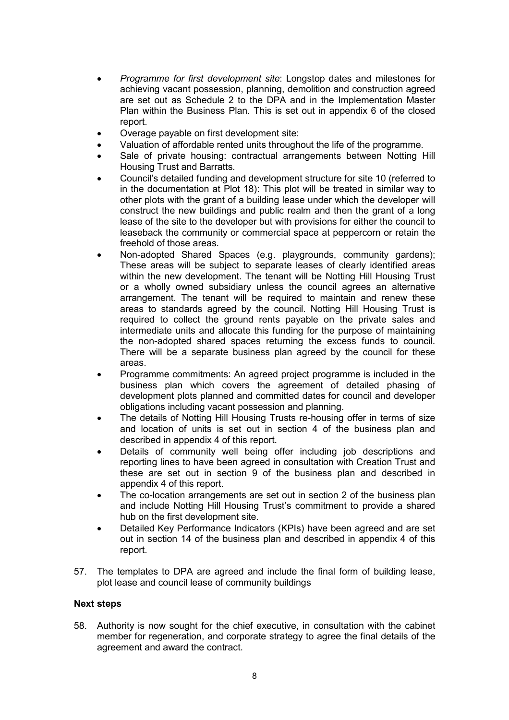- *Programme for first development site*: Longstop dates and milestones for achieving vacant possession, planning, demolition and construction agreed are set out as Schedule 2 to the DPA and in the Implementation Master Plan within the Business Plan. This is set out in appendix 6 of the closed report.
- Overage payable on first development site:
- Valuation of affordable rented units throughout the life of the programme.
- Sale of private housing: contractual arrangements between Notting Hill Housing Trust and Barratts.
- Council's detailed funding and development structure for site 10 (referred to in the documentation at Plot 18): This plot will be treated in similar way to other plots with the grant of a building lease under which the developer will construct the new buildings and public realm and then the grant of a long lease of the site to the developer but with provisions for either the council to leaseback the community or commercial space at peppercorn or retain the freehold of those areas.
- Non-adopted Shared Spaces (e.g. playgrounds, community gardens); These areas will be subject to separate leases of clearly identified areas within the new development. The tenant will be Notting Hill Housing Trust or a wholly owned subsidiary unless the council agrees an alternative arrangement. The tenant will be required to maintain and renew these areas to standards agreed by the council. Notting Hill Housing Trust is required to collect the ground rents payable on the private sales and intermediate units and allocate this funding for the purpose of maintaining the non-adopted shared spaces returning the excess funds to council. There will be a separate business plan agreed by the council for these areas.
- Programme commitments: An agreed project programme is included in the business plan which covers the agreement of detailed phasing of development plots planned and committed dates for council and developer obligations including vacant possession and planning.
- The details of Notting Hill Housing Trusts re-housing offer in terms of size and location of units is set out in section 4 of the business plan and described in appendix 4 of this report.
- Details of community well being offer including job descriptions and reporting lines to have been agreed in consultation with Creation Trust and these are set out in section 9 of the business plan and described in appendix 4 of this report.
- The co-location arrangements are set out in section 2 of the business plan and include Notting Hill Housing Trust's commitment to provide a shared hub on the first development site.
- Detailed Key Performance Indicators (KPIs) have been agreed and are set out in section 14 of the business plan and described in appendix 4 of this report.
- 57. The templates to DPA are agreed and include the final form of building lease, plot lease and council lease of community buildings

# **Next steps**

58. Authority is now sought for the chief executive, in consultation with the cabinet member for regeneration, and corporate strategy to agree the final details of the agreement and award the contract.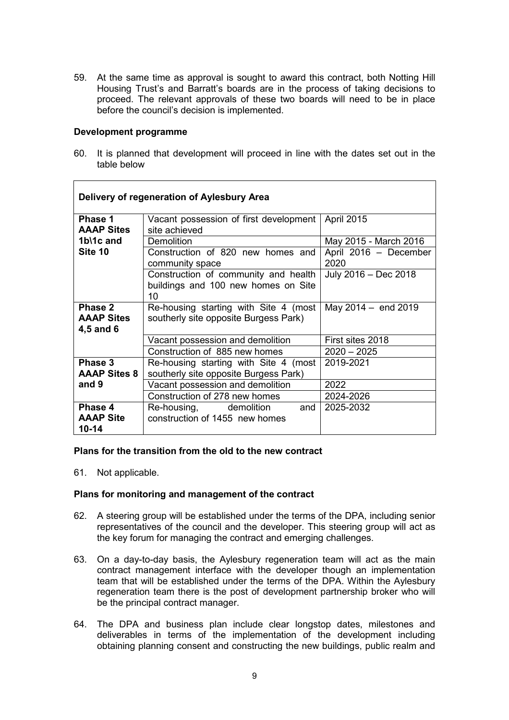59. At the same time as approval is sought to award this contract, both Notting Hill Housing Trust's and Barratt's boards are in the process of taking decisions to proceed. The relevant approvals of these two boards will need to be in place before the council's decision is implemented.

### **Development programme**

60. It is planned that development will proceed in line with the dates set out in the table below

| Delivery of regeneration of Aylesbury Area |                                        |                       |  |
|--------------------------------------------|----------------------------------------|-----------------------|--|
| Phase 1                                    | Vacant possession of first development | <b>April 2015</b>     |  |
| <b>AAAP Sites</b>                          | site achieved                          |                       |  |
| $1b$ 1c and                                | Demolition                             | May 2015 - March 2016 |  |
| Site 10                                    | Construction of 820 new homes and      | April 2016 - December |  |
|                                            | community space                        | 2020                  |  |
|                                            | Construction of community and health   | July 2016 - Dec 2018  |  |
|                                            | buildings and 100 new homes on Site    |                       |  |
|                                            | 10                                     |                       |  |
| Phase 2                                    | Re-housing starting with Site 4 (most  | May $2014 - end 2019$ |  |
| <b>AAAP Sites</b>                          | southerly site opposite Burgess Park)  |                       |  |
| 4,5 and 6                                  |                                        |                       |  |
|                                            | Vacant possession and demolition       | First sites 2018      |  |
|                                            | Construction of 885 new homes          | $2020 - 2025$         |  |
| Phase 3                                    | Re-housing starting with Site 4 (most  | 2019-2021             |  |
| <b>AAAP Sites 8</b>                        | southerly site opposite Burgess Park)  |                       |  |
| and 9                                      | Vacant possession and demolition       | 2022                  |  |
|                                            | Construction of 278 new homes          | 2024-2026             |  |
| Phase 4                                    | Re-housing, demolition<br>and          | 2025-2032             |  |
| <b>AAAP Site</b>                           | construction of 1455 new homes         |                       |  |
| $10 - 14$                                  |                                        |                       |  |

# **Plans for the transition from the old to the new contract**

61. Not applicable.

### **Plans for monitoring and management of the contract**

- 62. A steering group will be established under the terms of the DPA, including senior representatives of the council and the developer. This steering group will act as the key forum for managing the contract and emerging challenges.
- 63. On a day-to-day basis, the Aylesbury regeneration team will act as the main contract management interface with the developer though an implementation team that will be established under the terms of the DPA. Within the Aylesbury regeneration team there is the post of development partnership broker who will be the principal contract manager.
- 64. The DPA and business plan include clear longstop dates, milestones and deliverables in terms of the implementation of the development including obtaining planning consent and constructing the new buildings, public realm and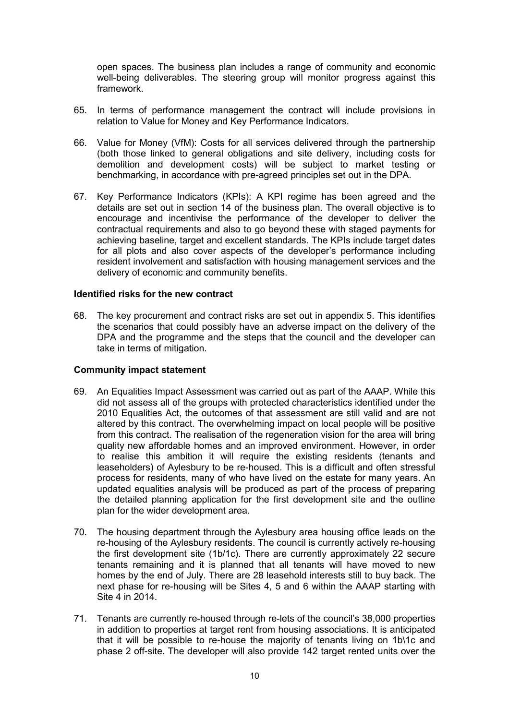open spaces. The business plan includes a range of community and economic well-being deliverables. The steering group will monitor progress against this framework.

- 65. In terms of performance management the contract will include provisions in relation to Value for Money and Key Performance Indicators.
- 66. Value for Money (VfM): Costs for all services delivered through the partnership (both those linked to general obligations and site delivery, including costs for demolition and development costs) will be subject to market testing or benchmarking, in accordance with pre-agreed principles set out in the DPA.
- 67. Key Performance Indicators (KPIs): A KPI regime has been agreed and the details are set out in section 14 of the business plan. The overall objective is to encourage and incentivise the performance of the developer to deliver the contractual requirements and also to go beyond these with staged payments for achieving baseline, target and excellent standards. The KPIs include target dates for all plots and also cover aspects of the developer's performance including resident involvement and satisfaction with housing management services and the delivery of economic and community benefits.

### **Identified risks for the new contract**

68. The key procurement and contract risks are set out in appendix 5. This identifies the scenarios that could possibly have an adverse impact on the delivery of the DPA and the programme and the steps that the council and the developer can take in terms of mitigation.

### **Community impact statement**

- 69. An Equalities Impact Assessment was carried out as part of the AAAP. While this did not assess all of the groups with protected characteristics identified under the 2010 Equalities Act, the outcomes of that assessment are still valid and are not altered by this contract. The overwhelming impact on local people will be positive from this contract. The realisation of the regeneration vision for the area will bring quality new affordable homes and an improved environment. However, in order to realise this ambition it will require the existing residents (tenants and leaseholders) of Aylesbury to be re-housed. This is a difficult and often stressful process for residents, many of who have lived on the estate for many years. An updated equalities analysis will be produced as part of the process of preparing the detailed planning application for the first development site and the outline plan for the wider development area.
- 70. The housing department through the Aylesbury area housing office leads on the re-housing of the Aylesbury residents. The council is currently actively re-housing the first development site (1b/1c). There are currently approximately 22 secure tenants remaining and it is planned that all tenants will have moved to new homes by the end of July. There are 28 leasehold interests still to buy back. The next phase for re-housing will be Sites 4, 5 and 6 within the AAAP starting with Site 4 in 2014.
- 71. Tenants are currently re-housed through re-lets of the council's 38,000 properties in addition to properties at target rent from housing associations. It is anticipated that it will be possible to re-house the majority of tenants living on 1b\1c and phase 2 off-site. The developer will also provide 142 target rented units over the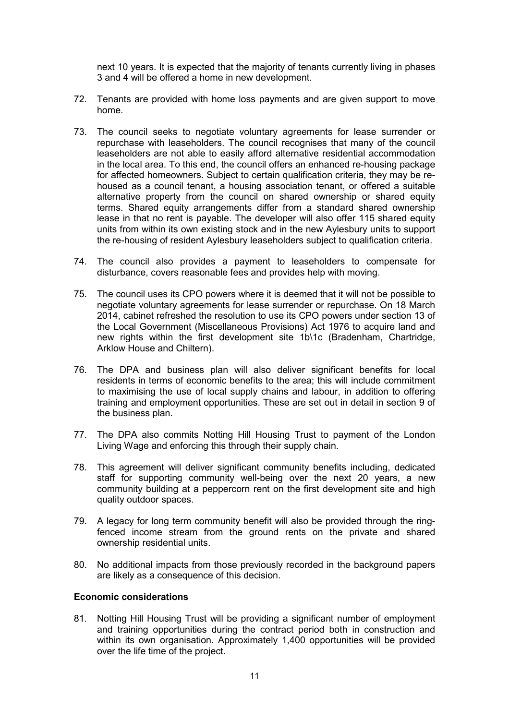next 10 years. It is expected that the majority of tenants currently living in phases 3 and 4 will be offered a home in new development.

- 72. Tenants are provided with home loss payments and are given support to move home.
- 73. The council seeks to negotiate voluntary agreements for lease surrender or repurchase with leaseholders. The council recognises that many of the council leaseholders are not able to easily afford alternative residential accommodation in the local area. To this end, the council offers an enhanced re-housing package for affected homeowners. Subject to certain qualification criteria, they may be rehoused as a council tenant, a housing association tenant, or offered a suitable alternative property from the council on shared ownership or shared equity terms. Shared equity arrangements differ from a standard shared ownership lease in that no rent is payable. The developer will also offer 115 shared equity units from within its own existing stock and in the new Aylesbury units to support the re-housing of resident Aylesbury leaseholders subject to qualification criteria.
- 74. The council also provides a payment to leaseholders to compensate for disturbance, covers reasonable fees and provides help with moving.
- 75. The council uses its CPO powers where it is deemed that it will not be possible to negotiate voluntary agreements for lease surrender or repurchase. On 18 March 2014, cabinet refreshed the resolution to use its CPO powers under section 13 of the Local Government (Miscellaneous Provisions) Act 1976 to acquire land and new rights within the first development site 1b\1c (Bradenham, Chartridge, Arklow House and Chiltern).
- 76. The DPA and business plan will also deliver significant benefits for local residents in terms of economic benefits to the area; this will include commitment to maximising the use of local supply chains and labour, in addition to offering training and employment opportunities. These are set out in detail in section 9 of the business plan.
- 77. The DPA also commits Notting Hill Housing Trust to payment of the London Living Wage and enforcing this through their supply chain.
- 78. This agreement will deliver significant community benefits including, dedicated staff for supporting community well-being over the next 20 years, a new community building at a peppercorn rent on the first development site and high quality outdoor spaces.
- 79. A legacy for long term community benefit will also be provided through the ringfenced income stream from the ground rents on the private and shared ownership residential units.
- 80. No additional impacts from those previously recorded in the background papers are likely as a consequence of this decision.

# **Economic considerations**

81. Notting Hill Housing Trust will be providing a significant number of employment and training opportunities during the contract period both in construction and within its own organisation. Approximately 1,400 opportunities will be provided over the life time of the project.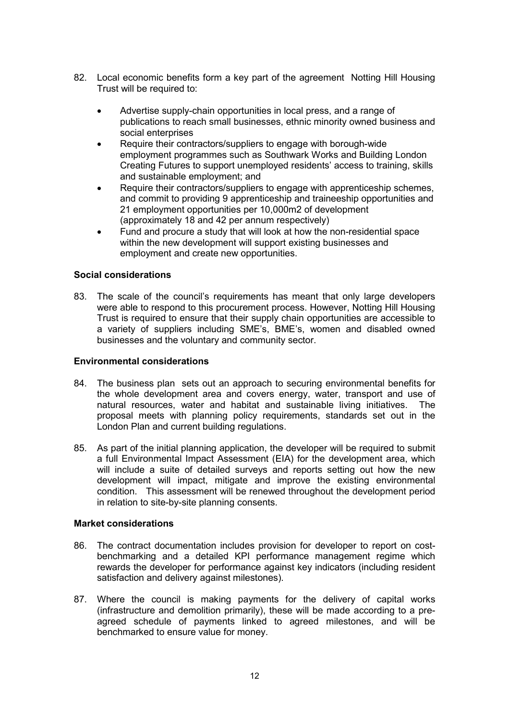- 82. Local economic benefits form a key part of the agreement Notting Hill Housing Trust will be required to:
	- Advertise supply-chain opportunities in local press, and a range of publications to reach small businesses, ethnic minority owned business and social enterprises
	- Require their contractors/suppliers to engage with borough-wide employment programmes such as Southwark Works and Building London Creating Futures to support unemployed residents' access to training, skills and sustainable employment; and
	- Require their contractors/suppliers to engage with apprenticeship schemes, and commit to providing 9 apprenticeship and traineeship opportunities and 21 employment opportunities per 10,000m2 of development (approximately 18 and 42 per annum respectively)
	- Fund and procure a study that will look at how the non-residential space within the new development will support existing businesses and employment and create new opportunities.

# **Social considerations**

83. The scale of the council's requirements has meant that only large developers were able to respond to this procurement process. However, Notting Hill Housing Trust is required to ensure that their supply chain opportunities are accessible to a variety of suppliers including SME's, BME's, women and disabled owned businesses and the voluntary and community sector.

# **Environmental considerations**

- 84. The business plan sets out an approach to securing environmental benefits for the whole development area and covers energy, water, transport and use of natural resources, water and habitat and sustainable living initiatives. The proposal meets with planning policy requirements, standards set out in the London Plan and current building regulations.
- 85. As part of the initial planning application, the developer will be required to submit a full Environmental Impact Assessment (EIA) for the development area, which will include a suite of detailed surveys and reports setting out how the new development will impact, mitigate and improve the existing environmental condition. This assessment will be renewed throughout the development period in relation to site-by-site planning consents.

# **Market considerations**

- 86. The contract documentation includes provision for developer to report on costbenchmarking and a detailed KPI performance management regime which rewards the developer for performance against key indicators (including resident satisfaction and delivery against milestones).
- 87. Where the council is making payments for the delivery of capital works (infrastructure and demolition primarily), these will be made according to a preagreed schedule of payments linked to agreed milestones, and will be benchmarked to ensure value for money.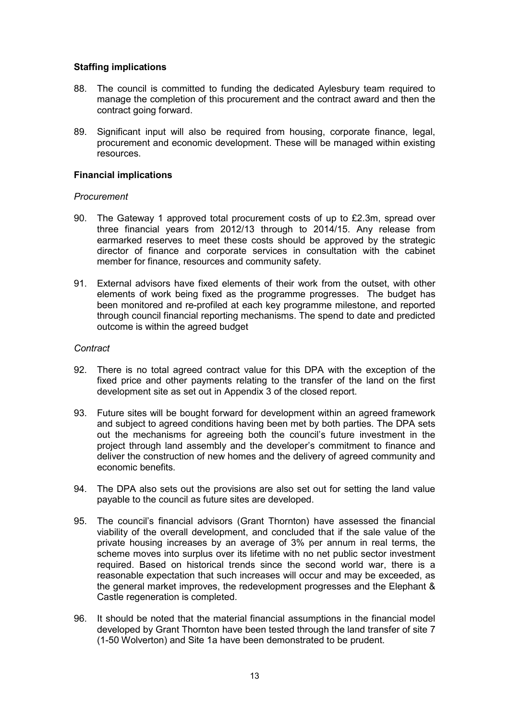# **Staffing implications**

- 88. The council is committed to funding the dedicated Aylesbury team required to manage the completion of this procurement and the contract award and then the contract going forward.
- 89. Significant input will also be required from housing, corporate finance, legal, procurement and economic development. These will be managed within existing resources.

# **Financial implications**

# *Procurement*

- 90. The Gateway 1 approved total procurement costs of up to £2.3m, spread over three financial years from 2012/13 through to 2014/15. Any release from earmarked reserves to meet these costs should be approved by the strategic director of finance and corporate services in consultation with the cabinet member for finance, resources and community safety.
- 91. External advisors have fixed elements of their work from the outset, with other elements of work being fixed as the programme progresses. The budget has been monitored and re-profiled at each key programme milestone, and reported through council financial reporting mechanisms. The spend to date and predicted outcome is within the agreed budget

# *Contract*

- 92. There is no total agreed contract value for this DPA with the exception of the fixed price and other payments relating to the transfer of the land on the first development site as set out in Appendix 3 of the closed report.
- 93. Future sites will be bought forward for development within an agreed framework and subject to agreed conditions having been met by both parties. The DPA sets out the mechanisms for agreeing both the council's future investment in the project through land assembly and the developer's commitment to finance and deliver the construction of new homes and the delivery of agreed community and economic benefits.
- 94. The DPA also sets out the provisions are also set out for setting the land value payable to the council as future sites are developed.
- 95. The council's financial advisors (Grant Thornton) have assessed the financial viability of the overall development, and concluded that if the sale value of the private housing increases by an average of 3% per annum in real terms, the scheme moves into surplus over its lifetime with no net public sector investment required. Based on historical trends since the second world war, there is a reasonable expectation that such increases will occur and may be exceeded, as the general market improves, the redevelopment progresses and the Elephant & Castle regeneration is completed.
- 96. It should be noted that the material financial assumptions in the financial model developed by Grant Thornton have been tested through the land transfer of site 7 (1-50 Wolverton) and Site 1a have been demonstrated to be prudent.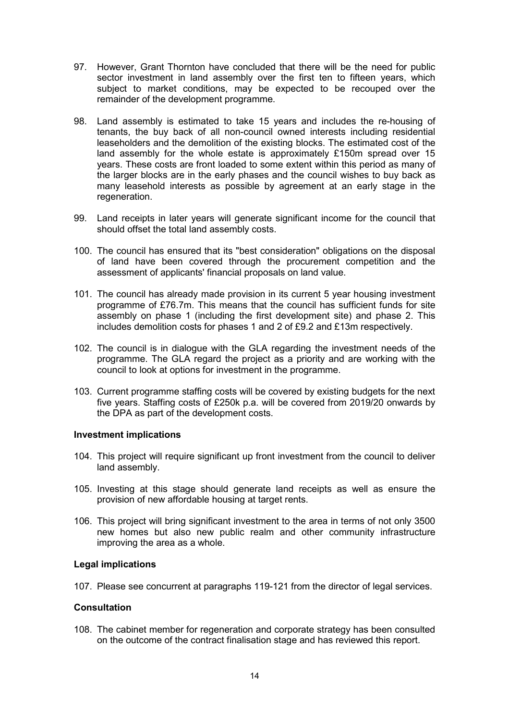- 97. However, Grant Thornton have concluded that there will be the need for public sector investment in land assembly over the first ten to fifteen years, which subject to market conditions, may be expected to be recouped over the remainder of the development programme.
- 98. Land assembly is estimated to take 15 years and includes the re-housing of tenants, the buy back of all non-council owned interests including residential leaseholders and the demolition of the existing blocks. The estimated cost of the land assembly for the whole estate is approximately £150m spread over 15 years. These costs are front loaded to some extent within this period as many of the larger blocks are in the early phases and the council wishes to buy back as many leasehold interests as possible by agreement at an early stage in the regeneration.
- 99. Land receipts in later years will generate significant income for the council that should offset the total land assembly costs.
- 100. The council has ensured that its "best consideration" obligations on the disposal of land have been covered through the procurement competition and the assessment of applicants' financial proposals on land value.
- 101. The council has already made provision in its current 5 year housing investment programme of £76.7m. This means that the council has sufficient funds for site assembly on phase 1 (including the first development site) and phase 2. This includes demolition costs for phases 1 and 2 of £9.2 and £13m respectively.
- 102. The council is in dialogue with the GLA regarding the investment needs of the programme. The GLA regard the project as a priority and are working with the council to look at options for investment in the programme.
- 103. Current programme staffing costs will be covered by existing budgets for the next five years. Staffing costs of £250k p.a. will be covered from 2019/20 onwards by the DPA as part of the development costs.

### **Investment implications**

- 104. This project will require significant up front investment from the council to deliver land assembly.
- 105. Investing at this stage should generate land receipts as well as ensure the provision of new affordable housing at target rents.
- 106. This project will bring significant investment to the area in terms of not only 3500 new homes but also new public realm and other community infrastructure improving the area as a whole.

# **Legal implications**

107. Please see concurrent at paragraphs 119-121 from the director of legal services.

# **Consultation**

108. The cabinet member for regeneration and corporate strategy has been consulted on the outcome of the contract finalisation stage and has reviewed this report.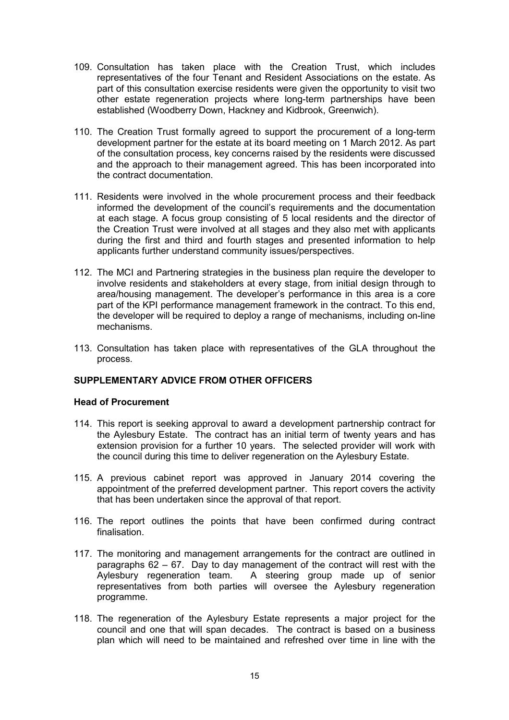- 109. Consultation has taken place with the Creation Trust, which includes representatives of the four Tenant and Resident Associations on the estate. As part of this consultation exercise residents were given the opportunity to visit two other estate regeneration projects where long-term partnerships have been established (Woodberry Down, Hackney and Kidbrook, Greenwich).
- 110. The Creation Trust formally agreed to support the procurement of a long-term development partner for the estate at its board meeting on 1 March 2012. As part of the consultation process, key concerns raised by the residents were discussed and the approach to their management agreed. This has been incorporated into the contract documentation.
- 111. Residents were involved in the whole procurement process and their feedback informed the development of the council's requirements and the documentation at each stage. A focus group consisting of 5 local residents and the director of the Creation Trust were involved at all stages and they also met with applicants during the first and third and fourth stages and presented information to help applicants further understand community issues/perspectives.
- 112. The MCI and Partnering strategies in the business plan require the developer to involve residents and stakeholders at every stage, from initial design through to area/housing management. The developer's performance in this area is a core part of the KPI performance management framework in the contract. To this end, the developer will be required to deploy a range of mechanisms, including on-line mechanisms.
- 113. Consultation has taken place with representatives of the GLA throughout the process.

# **SUPPLEMENTARY ADVICE FROM OTHER OFFICERS**

# **Head of Procurement**

- 114. This report is seeking approval to award a development partnership contract for the Aylesbury Estate. The contract has an initial term of twenty years and has extension provision for a further 10 years. The selected provider will work with the council during this time to deliver regeneration on the Aylesbury Estate.
- 115. A previous cabinet report was approved in January 2014 covering the appointment of the preferred development partner. This report covers the activity that has been undertaken since the approval of that report.
- 116. The report outlines the points that have been confirmed during contract finalisation.
- 117. The monitoring and management arrangements for the contract are outlined in paragraphs 62 – 67. Day to day management of the contract will rest with the Aylesbury regeneration team. A steering group made up of senior representatives from both parties will oversee the Aylesbury regeneration programme.
- 118. The regeneration of the Aylesbury Estate represents a major project for the council and one that will span decades. The contract is based on a business plan which will need to be maintained and refreshed over time in line with the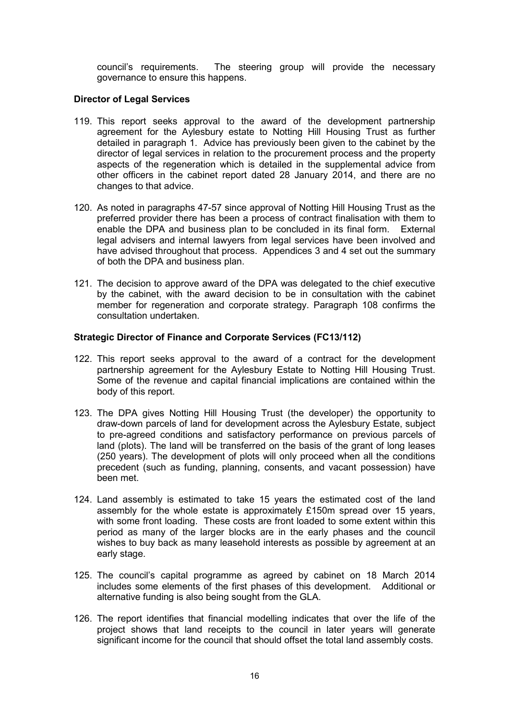council's requirements. The steering group will provide the necessary governance to ensure this happens.

### **Director of Legal Services**

- 119. This report seeks approval to the award of the development partnership agreement for the Aylesbury estate to Notting Hill Housing Trust as further detailed in paragraph 1. Advice has previously been given to the cabinet by the director of legal services in relation to the procurement process and the property aspects of the regeneration which is detailed in the supplemental advice from other officers in the cabinet report dated 28 January 2014, and there are no changes to that advice.
- 120. As noted in paragraphs 47-57 since approval of Notting Hill Housing Trust as the preferred provider there has been a process of contract finalisation with them to enable the DPA and business plan to be concluded in its final form. External legal advisers and internal lawyers from legal services have been involved and have advised throughout that process. Appendices 3 and 4 set out the summary of both the DPA and business plan.
- 121. The decision to approve award of the DPA was delegated to the chief executive by the cabinet, with the award decision to be in consultation with the cabinet member for regeneration and corporate strategy. Paragraph 108 confirms the consultation undertaken.

### **Strategic Director of Finance and Corporate Services (FC13/112)**

- 122. This report seeks approval to the award of a contract for the development partnership agreement for the Aylesbury Estate to Notting Hill Housing Trust. Some of the revenue and capital financial implications are contained within the body of this report.
- 123. The DPA gives Notting Hill Housing Trust (the developer) the opportunity to draw-down parcels of land for development across the Aylesbury Estate, subject to pre-agreed conditions and satisfactory performance on previous parcels of land (plots). The land will be transferred on the basis of the grant of long leases (250 years). The development of plots will only proceed when all the conditions precedent (such as funding, planning, consents, and vacant possession) have been met.
- 124. Land assembly is estimated to take 15 years the estimated cost of the land assembly for the whole estate is approximately £150m spread over 15 years, with some front loading. These costs are front loaded to some extent within this period as many of the larger blocks are in the early phases and the council wishes to buy back as many leasehold interests as possible by agreement at an early stage.
- 125. The council's capital programme as agreed by cabinet on 18 March 2014 includes some elements of the first phases of this development. Additional or alternative funding is also being sought from the GLA.
- 126. The report identifies that financial modelling indicates that over the life of the project shows that land receipts to the council in later years will generate significant income for the council that should offset the total land assembly costs.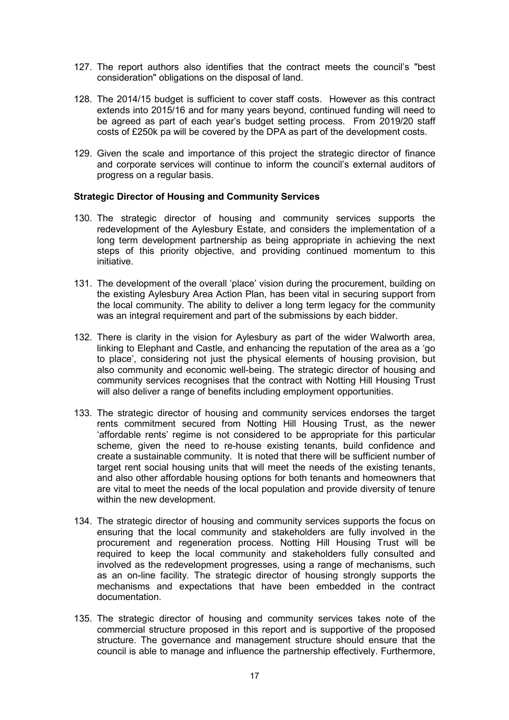- 127. The report authors also identifies that the contract meets the council's "best consideration" obligations on the disposal of land.
- 128. The 2014/15 budget is sufficient to cover staff costs. However as this contract extends into 2015/16 and for many years beyond, continued funding will need to be agreed as part of each year's budget setting process. From 2019/20 staff costs of £250k pa will be covered by the DPA as part of the development costs.
- 129. Given the scale and importance of this project the strategic director of finance and corporate services will continue to inform the council's external auditors of progress on a regular basis.

### **Strategic Director of Housing and Community Services**

- 130. The strategic director of housing and community services supports the redevelopment of the Aylesbury Estate, and considers the implementation of a long term development partnership as being appropriate in achieving the next steps of this priority objective, and providing continued momentum to this initiative.
- 131. The development of the overall 'place' vision during the procurement, building on the existing Aylesbury Area Action Plan, has been vital in securing support from the local community. The ability to deliver a long term legacy for the community was an integral requirement and part of the submissions by each bidder.
- 132. There is clarity in the vision for Aylesbury as part of the wider Walworth area, linking to Elephant and Castle, and enhancing the reputation of the area as a 'go to place', considering not just the physical elements of housing provision, but also community and economic well-being. The strategic director of housing and community services recognises that the contract with Notting Hill Housing Trust will also deliver a range of benefits including employment opportunities.
- 133. The strategic director of housing and community services endorses the target rents commitment secured from Notting Hill Housing Trust, as the newer 'affordable rents' regime is not considered to be appropriate for this particular scheme, given the need to re-house existing tenants, build confidence and create a sustainable community. It is noted that there will be sufficient number of target rent social housing units that will meet the needs of the existing tenants, and also other affordable housing options for both tenants and homeowners that are vital to meet the needs of the local population and provide diversity of tenure within the new development.
- 134. The strategic director of housing and community services supports the focus on ensuring that the local community and stakeholders are fully involved in the procurement and regeneration process. Notting Hill Housing Trust will be required to keep the local community and stakeholders fully consulted and involved as the redevelopment progresses, using a range of mechanisms, such as an on-line facility. The strategic director of housing strongly supports the mechanisms and expectations that have been embedded in the contract documentation.
- 135. The strategic director of housing and community services takes note of the commercial structure proposed in this report and is supportive of the proposed structure. The governance and management structure should ensure that the council is able to manage and influence the partnership effectively. Furthermore,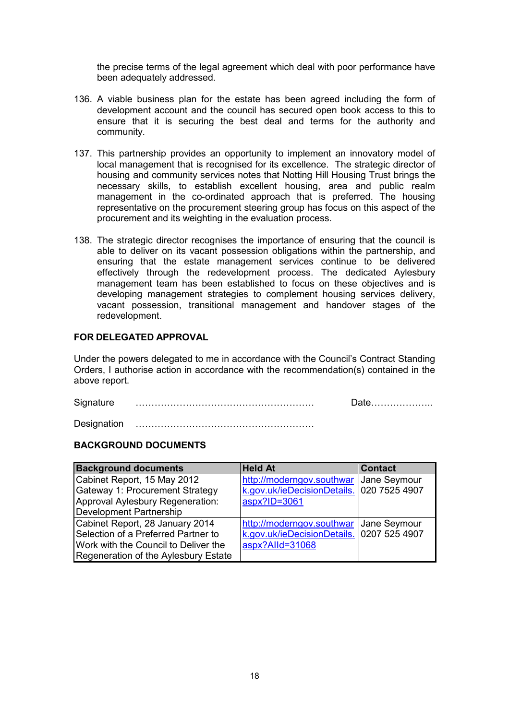the precise terms of the legal agreement which deal with poor performance have been adequately addressed.

- 136. A viable business plan for the estate has been agreed including the form of development account and the council has secured open book access to this to ensure that it is securing the best deal and terms for the authority and community.
- 137. This partnership provides an opportunity to implement an innovatory model of local management that is recognised for its excellence. The strategic director of housing and community services notes that Notting Hill Housing Trust brings the necessary skills, to establish excellent housing, area and public realm management in the co-ordinated approach that is preferred. The housing representative on the procurement steering group has focus on this aspect of the procurement and its weighting in the evaluation process.
- 138. The strategic director recognises the importance of ensuring that the council is able to deliver on its vacant possession obligations within the partnership, and ensuring that the estate management services continue to be delivered effectively through the redevelopment process. The dedicated Aylesbury management team has been established to focus on these objectives and is developing management strategies to complement housing services delivery, vacant possession, transitional management and handover stages of the redevelopment.

### **FOR DELEGATED APPROVAL**

Under the powers delegated to me in accordance with the Council's Contract Standing Orders, I authorise action in accordance with the recommendation(s) contained in the above report.

Signature ………………………………………………… Date……………….. Designation …………………………………………………

# **BACKGROUND DOCUMENTS**

| <b>Background documents</b>            | <b>Held At</b>                            | <b>Contact</b> |
|----------------------------------------|-------------------------------------------|----------------|
| Cabinet Report, 15 May 2012            | http://moderngov.southwar                 | Jane Seymour   |
| <b>Gateway 1: Procurement Strategy</b> | k.gov.uk/ieDecisionDetails.               | 020 7525 4907  |
| Approval Aylesbury Regeneration:       | aspx?ID=3061                              |                |
| Development Partnership                |                                           |                |
| Cabinet Report, 28 January 2014        | http://moderngov.southwar                 | Jane Seymour   |
| Selection of a Preferred Partner to    | k.gov.uk/ieDecisionDetails. 0207 525 4907 |                |
| Work with the Council to Deliver the   | aspx?Alld=31068                           |                |
| Regeneration of the Aylesbury Estate   |                                           |                |